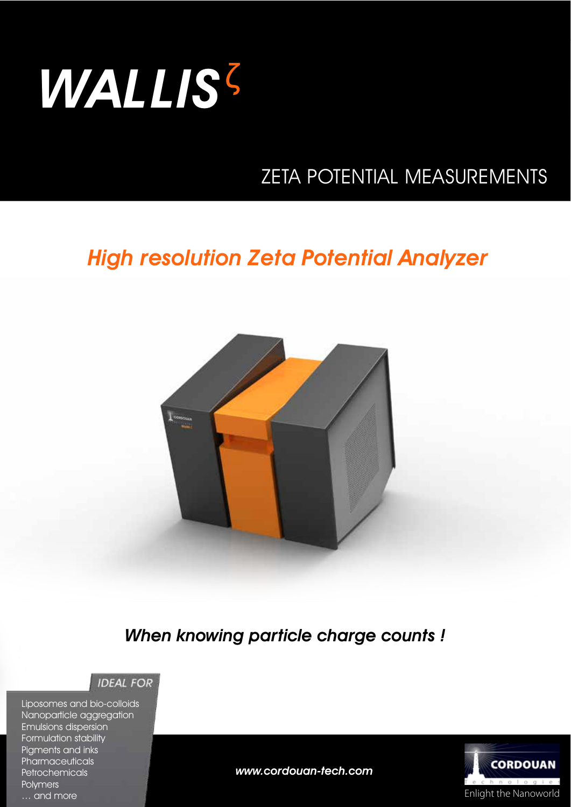

## ZETA POTENTIAL MEASUREMENTS

## High resolution Zeta Potential Analyzer



When knowing particle charge counts !



Liposomes and bio-colloids Nanoparticle aggregation Emulsions dispersion Formulation stability Pigments and inks **Pharmaceuticals Petrochemicals Polymers** … and more



www.cordouan-tech.com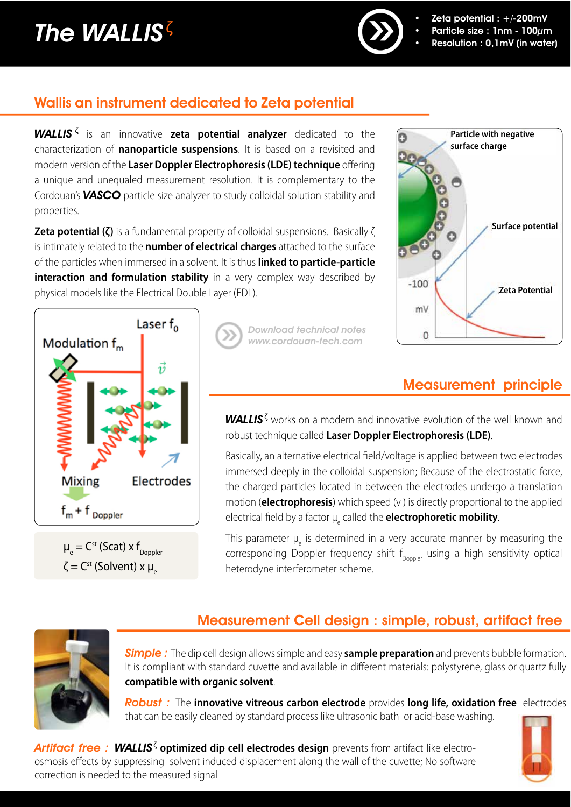## The WALLIS $\bar{S}$



- Zeta potential :  $+/200$ mV
- Particle size : 1nm 100 $\mu$ m
- Resolution : 0,1mV (in water)

## Wallis an instrument dedicated to Zeta potential

WALLIS <sup>ȗ</sup> is an innovative **zeta potential analyzer** dedicated to the characterization of **nanoparticle suspensions**. It is based on a revisited and modern version of the **Laser Doppler Electrophoresis (LDE) technique** offering a unique and unequaled measurement resolution. It is complementary to the Cordouan's **VASCO** particle size analyzer to study colloidal solution stability and properties.

**Zeta potential (ζ)** is a fundamental property of colloidal suspensions. Basically ζ is intimately related to the **number of electrical charges** attached to the surface of the particles when immersed in a solvent. It is thus **linked to particle-particle interaction and formulation stability** in a very complex way described by physical models like the Electrical Double Layer (EDL).



 $\mu_{\text{e}}^{\text{}}$  = C<sup>st</sup> (Scat) x f<sub>Doppler</sub>  $\zeta$  = C<sup>st</sup> (Solvent) x μ<sub>ε</sub>

Download technical notes www.cordouan-tech.com



## Measurement principle

WALLIS<sup>5</sup> works on a modern and innovative evolution of the well known and robust technique called **Laser Doppler Electrophoresis(LDE)**.

Basically, an alternative electrical field/voltage is applied between two electrodes immersed deeply in the colloidal suspension; Because of the electrostatic force, the charged particles located in between the electrodes undergo a translation motion (**electrophoresis**) which speed (v ) is directly proportional to the applied electrical field by a factor µe called the **electrophoretic mobility**.

This parameter  $\mu_{\text{e}}$  is determined in a very accurate manner by measuring the corresponding Doppler frequency shift  $f_{\text{Donler}}$  using a high sensitivity optical heterodyne interferometer scheme.



## Measurement Cell design : simple, robust, artifact free

Simple : The dip cell design allows simple and easy **sample preparation** and prevents bubble formation. It is compliant with standard cuvette and available in different materials: polystyrene, glass or quartz fully **compatible with organic solvent**.

Robust : The **innovative vitreous carbon electrode** provides **long life, oxidation free** electrodes that can be easily cleaned by standard process like ultrasonic bath or acid-base washing.

Artifact free : WALLIS<sup>ζ</sup> optimized dip cell electrodes design prevents from artifact like electroosmosis effects by suppressing solvent induced displacement along the wall of the cuvette; No software correction is needed to the measured signal

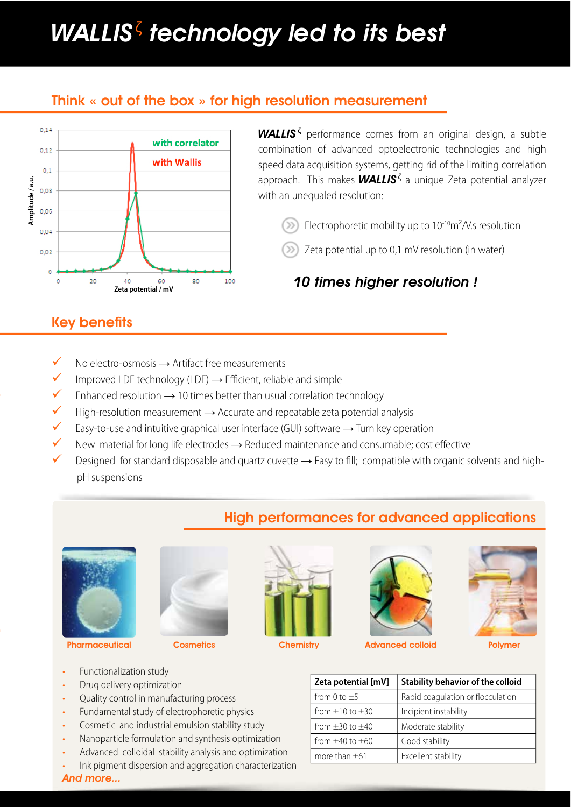## WALLIS $\bar{\textbf{\textit{S}}}$  technology led to its best

#### Think « out of the box » for high resolution measurement



#### Key benefits

- ◆ No electro-osmosis → Artifact free measurements
- 9 Improved LDE technology (LDE) **ĺ** Efficient, reliable and simple
- $\checkmark$  Enhanced resolution  $\to$  10 times better than usual correlation technology
- $\checkmark$  High-resolution measurement  $\to$  Accurate and repeatable zeta potential analysis
- 9 Easy-to-use and intuitive graphical user interface (GUI) software **ĺ** Turn key operation
- $\checkmark$  New material for long life electrodes  $\to$  Reduced maintenance and consumable; cost effective
- Designed for standard disposable and quartz cuvette → Easy to fill; compatible with organic solvents and highpH suspensions

#### High performances for advanced applications









Pharmaceutical Cosmetics Chemistry Advanced colloid Polymer



| Zeta potential [mV] | <b>Stability behavior of the colloid</b> |
|---------------------|------------------------------------------|
| from 0 to $\pm$ 5   | Rapid coaqulation or flocculation        |
| from $+10$ to $+30$ | Incipient instability                    |
| from $+30$ to $+40$ | Moderate stability                       |
| from $+40$ to $+60$ | Good stability                           |
| more than $\pm 61$  | Excellent stability                      |

- Functionalization study
- Drug delivery optimization
- Ouality control in manufacturing process
- Fundamental study of electrophoretic physics
- Cosmetic and industrial emulsion stability study
- Nanoparticle formulation and synthesis optimization
- Advanced colloidal stability analysis and optimization
- Ink pigment dispersion and aggregation characterization

And more...